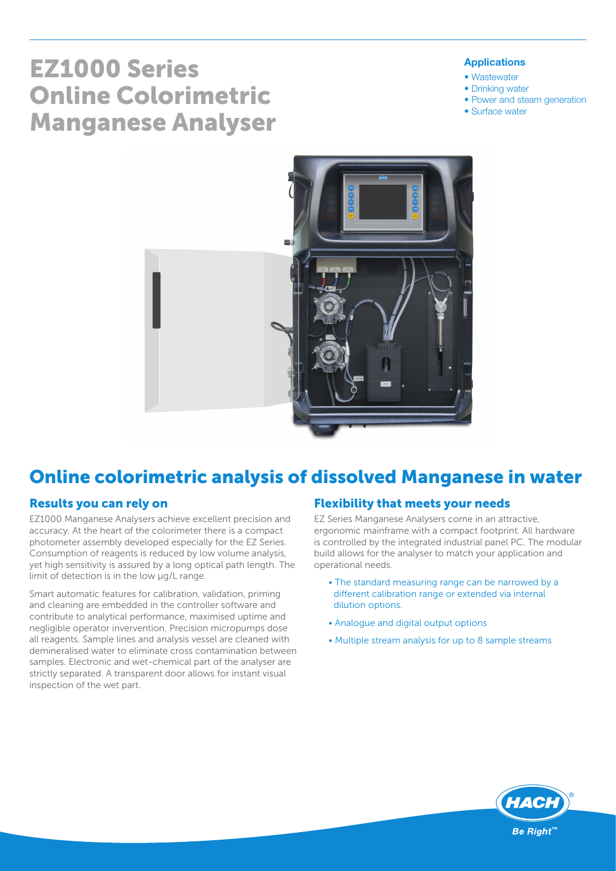# EZ1000 Series Online Colorimetric Manganese Analyser

#### Applications

- Wastewater
- Drinking water
- Power and steam generation
- Surface water



# Online colorimetric analysis of dissolved Manganese in water

#### Results you can rely on

EZ1000 Manganese Analysers achieve excellent precision and accuracy. At the heart of the colorimeter there is a compact photometer assembly developed especially for the EZ Series. Consumption of reagents is reduced by low volume analysis, yet high sensitivity is assured by a long optical path length. The limit of detection is in the low µg/L range.

Smart automatic features for calibration, validation, priming and cleaning are embedded in the controller software and contribute to analytical performance, maximised uptime and negligible operator invervention. Precision micropumps dose all reagents. Sample lines and analysis vessel are cleaned with demineralised water to eliminate cross contamination between samples. Electronic and wet-chemical part of the analyser are strictly separated. A transparent door allows for instant visual inspection of the wet part.

#### Flexibility that meets your needs

EZ Series Manganese Analysers come in an attractive, ergonomic mainframe with a compact footprint. All hardware is controlled by the integrated industrial panel PC. The modular build allows for the analyser to match your application and operational needs.

- The standard measuring range can be narrowed by a different calibration range or extended via internal dilution options.
- Analogue and digital output options
- Multiple stream analysis for up to 8 sample streams

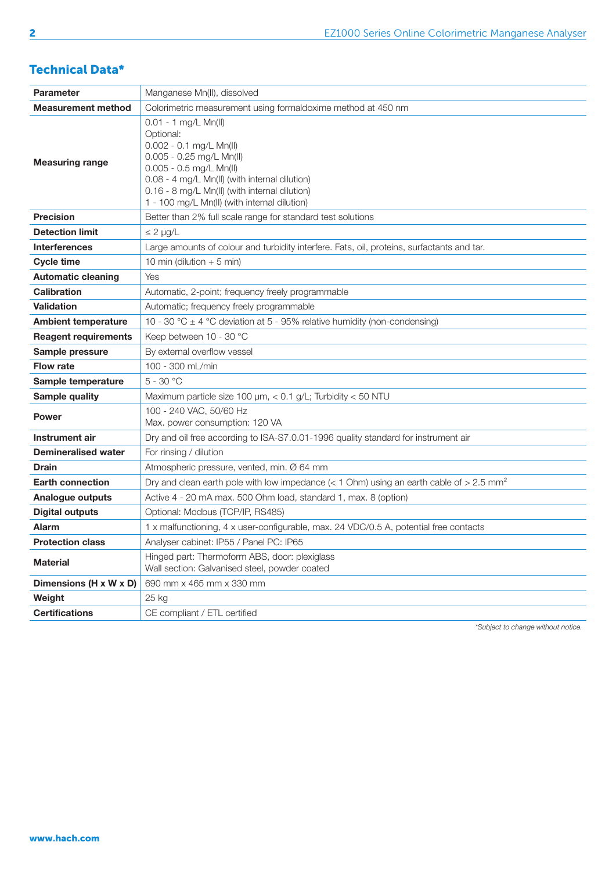### Technical Data\*

| <b>Parameter</b>            | Manganese Mn(II), dissolved                                                                                                                                                                                                                                                   |  |  |  |  |  |
|-----------------------------|-------------------------------------------------------------------------------------------------------------------------------------------------------------------------------------------------------------------------------------------------------------------------------|--|--|--|--|--|
| <b>Measurement method</b>   | Colorimetric measurement using formaldoxime method at 450 nm                                                                                                                                                                                                                  |  |  |  |  |  |
| <b>Measuring range</b>      | $0.01 - 1$ mg/L Mn(II)<br>Optional:<br>$0.002 - 0.1$ mg/L Mn(II)<br>$0.005 - 0.25$ mg/L Mn(II)<br>$0.005 - 0.5$ mg/L Mn(II)<br>0.08 - 4 mg/L Mn(II) (with internal dilution)<br>0.16 - 8 mg/L Mn(II) (with internal dilution)<br>1 - 100 mg/L Mn(II) (with internal dilution) |  |  |  |  |  |
| <b>Precision</b>            | Better than 2% full scale range for standard test solutions                                                                                                                                                                                                                   |  |  |  |  |  |
| <b>Detection limit</b>      | $\leq 2$ µg/L                                                                                                                                                                                                                                                                 |  |  |  |  |  |
| <b>Interferences</b>        | Large amounts of colour and turbidity interfere. Fats, oil, proteins, surfactants and tar.                                                                                                                                                                                    |  |  |  |  |  |
| <b>Cycle time</b>           | 10 min (dilution $+$ 5 min)                                                                                                                                                                                                                                                   |  |  |  |  |  |
| <b>Automatic cleaning</b>   | Yes                                                                                                                                                                                                                                                                           |  |  |  |  |  |
| <b>Calibration</b>          | Automatic, 2-point; frequency freely programmable                                                                                                                                                                                                                             |  |  |  |  |  |
| <b>Validation</b>           | Automatic; frequency freely programmable                                                                                                                                                                                                                                      |  |  |  |  |  |
| <b>Ambient temperature</b>  | 10 - 30 °C $\pm$ 4 °C deviation at 5 - 95% relative humidity (non-condensing)                                                                                                                                                                                                 |  |  |  |  |  |
| <b>Reagent requirements</b> | Keep between 10 - 30 °C                                                                                                                                                                                                                                                       |  |  |  |  |  |
| Sample pressure             | By external overflow vessel                                                                                                                                                                                                                                                   |  |  |  |  |  |
| <b>Flow rate</b>            | 100 - 300 mL/min                                                                                                                                                                                                                                                              |  |  |  |  |  |
| Sample temperature          | $5 - 30 °C$                                                                                                                                                                                                                                                                   |  |  |  |  |  |
| Sample quality              | Maximum particle size 100 µm, < 0.1 g/L; Turbidity < 50 NTU                                                                                                                                                                                                                   |  |  |  |  |  |
| <b>Power</b>                | 100 - 240 VAC, 50/60 Hz<br>Max. power consumption: 120 VA                                                                                                                                                                                                                     |  |  |  |  |  |
| Instrument air              | Dry and oil free according to ISA-S7.0.01-1996 quality standard for instrument air                                                                                                                                                                                            |  |  |  |  |  |
| <b>Demineralised water</b>  | For rinsing / dilution                                                                                                                                                                                                                                                        |  |  |  |  |  |
| <b>Drain</b>                | Atmospheric pressure, vented, min. Ø 64 mm                                                                                                                                                                                                                                    |  |  |  |  |  |
| <b>Earth connection</b>     | Dry and clean earth pole with low impedance (< 1 Ohm) using an earth cable of > 2.5 mm <sup>2</sup>                                                                                                                                                                           |  |  |  |  |  |
| Analogue outputs            | Active 4 - 20 mA max. 500 Ohm load, standard 1, max. 8 (option)                                                                                                                                                                                                               |  |  |  |  |  |
| <b>Digital outputs</b>      | Optional: Modbus (TCP/IP, RS485)                                                                                                                                                                                                                                              |  |  |  |  |  |
| <b>Alarm</b>                | 1 x malfunctioning, 4 x user-configurable, max. 24 VDC/0.5 A, potential free contacts                                                                                                                                                                                         |  |  |  |  |  |
| <b>Protection class</b>     | Analyser cabinet: IP55 / Panel PC: IP65                                                                                                                                                                                                                                       |  |  |  |  |  |
| <b>Material</b>             | Hinged part: Thermoform ABS, door: plexiglass<br>Wall section: Galvanised steel, powder coated                                                                                                                                                                                |  |  |  |  |  |
| Dimensions (H x W x D)      | 690 mm x 465 mm x 330 mm                                                                                                                                                                                                                                                      |  |  |  |  |  |
| Weight                      | 25 kg                                                                                                                                                                                                                                                                         |  |  |  |  |  |
| <b>Certifications</b>       | CE compliant / ETL certified                                                                                                                                                                                                                                                  |  |  |  |  |  |

*\*Subject to change without notice.*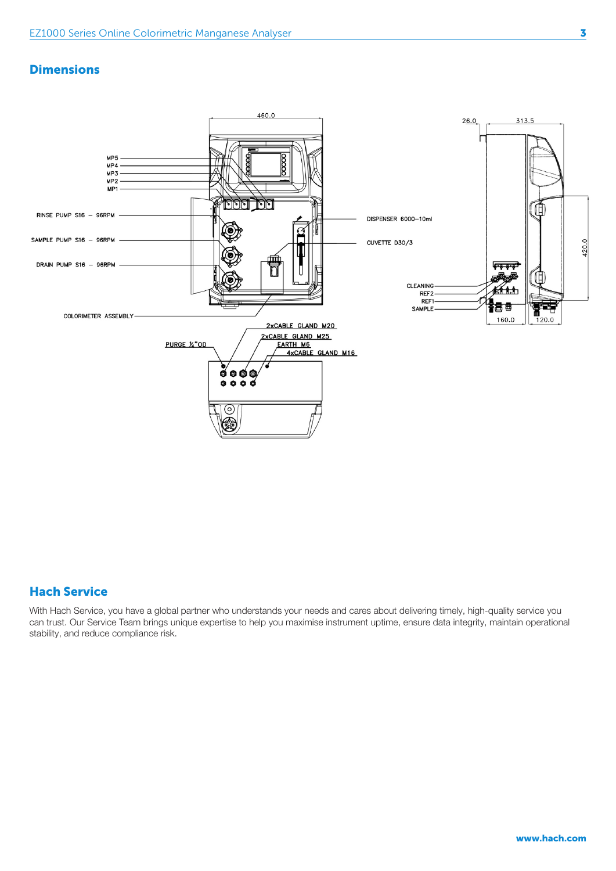#### **Dimensions**



#### Hach Service

With Hach Service, you have a global partner who understands your needs and cares about delivering timely, high-quality service you can trust. Our Service Team brings unique expertise to help you maximise instrument uptime, ensure data integrity, maintain operational stability, and reduce compliance risk.